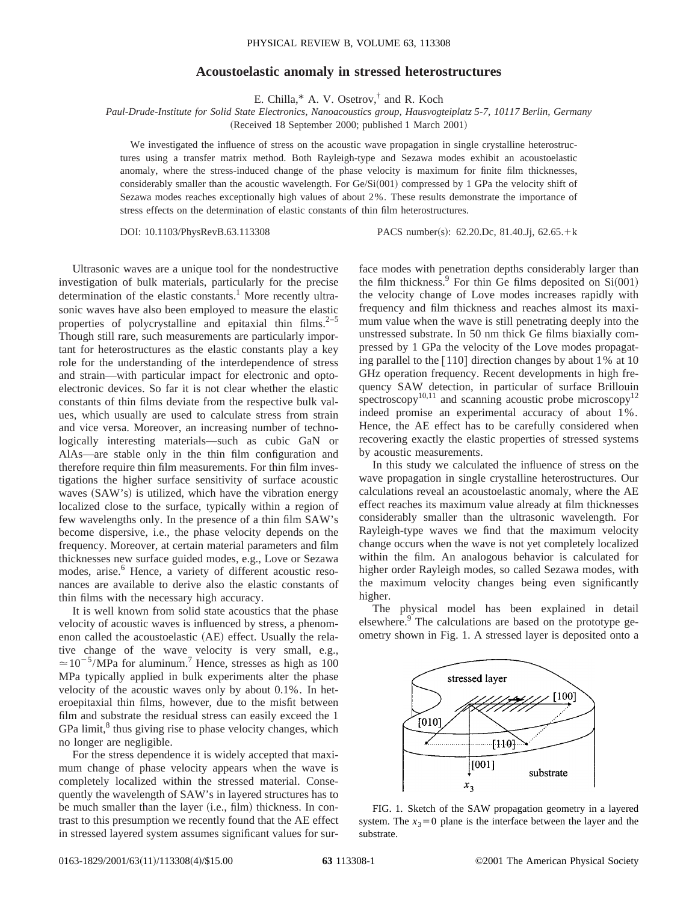## **Acoustoelastic anomaly in stressed heterostructures**

E. Chilla,\* A. V. Osetrov,† and R. Koch

*Paul-Drude-Institute for Solid State Electronics, Nanoacoustics group, Hausvogteiplatz 5-7, 10117 Berlin, Germany* (Received 18 September 2000; published 1 March 2001)

We investigated the influence of stress on the acoustic wave propagation in single crystalline heterostructures using a transfer matrix method. Both Rayleigh-type and Sezawa modes exhibit an acoustoelastic anomaly, where the stress-induced change of the phase velocity is maximum for finite film thicknesses, considerably smaller than the acoustic wavelength. For  $Ge/Si(001)$  compressed by 1 GPa the velocity shift of Sezawa modes reaches exceptionally high values of about 2%. These results demonstrate the importance of stress effects on the determination of elastic constants of thin film heterostructures.

DOI: 10.1103/PhysRevB.63.113308 PACS number(s): 62.20.Dc, 81.40.Jj, 62.65.+k

Ultrasonic waves are a unique tool for the nondestructive investigation of bulk materials, particularly for the precise determination of the elastic constants.<sup>1</sup> More recently ultrasonic waves have also been employed to measure the elastic properties of polycrystalline and epitaxial thin films.<sup>2–5</sup> Though still rare, such measurements are particularly important for heterostructures as the elastic constants play a key role for the understanding of the interdependence of stress and strain—with particular impact for electronic and optoelectronic devices. So far it is not clear whether the elastic constants of thin films deviate from the respective bulk values, which usually are used to calculate stress from strain and vice versa. Moreover, an increasing number of technologically interesting materials—such as cubic GaN or AlAs—are stable only in the thin film configuration and therefore require thin film measurements. For thin film investigations the higher surface sensitivity of surface acoustic waves (SAW's) is utilized, which have the vibration energy localized close to the surface, typically within a region of few wavelengths only. In the presence of a thin film SAW's become dispersive, i.e., the phase velocity depends on the frequency. Moreover, at certain material parameters and film thicknesses new surface guided modes, e.g., Love or Sezawa modes, arise.<sup>6</sup> Hence, a variety of different acoustic resonances are available to derive also the elastic constants of thin films with the necessary high accuracy.

It is well known from solid state acoustics that the phase velocity of acoustic waves is influenced by stress, a phenomenon called the acoustoelastic (AE) effect. Usually the relative change of the wave velocity is very small, e.g.,  $\approx 10^{-5}$ /MPa for aluminum.<sup>7</sup> Hence, stresses as high as 100 MPa typically applied in bulk experiments alter the phase velocity of the acoustic waves only by about 0.1%. In heteroepitaxial thin films, however, due to the misfit between film and substrate the residual stress can easily exceed the 1 GPa limit, $<sup>8</sup>$  thus giving rise to phase velocity changes, which</sup> no longer are negligible.

For the stress dependence it is widely accepted that maximum change of phase velocity appears when the wave is completely localized within the stressed material. Consequently the wavelength of SAW's in layered structures has to be much smaller than the layer (i.e., film) thickness. In contrast to this presumption we recently found that the AE effect in stressed layered system assumes significant values for surface modes with penetration depths considerably larger than the film thickness.<sup>9</sup> For thin Ge films deposited on  $Si(001)$ the velocity change of Love modes increases rapidly with frequency and film thickness and reaches almost its maximum value when the wave is still penetrating deeply into the unstressed substrate. In 50 nm thick Ge films biaxially compressed by 1 GPa the velocity of the Love modes propagating parallel to the  $\lceil 110 \rceil$  direction changes by about 1% at 10 GHz operation frequency. Recent developments in high frequency SAW detection, in particular of surface Brillouin spectroscopy<sup>10,11</sup> and scanning acoustic probe microscopy<sup>12</sup> indeed promise an experimental accuracy of about 1%. Hence, the AE effect has to be carefully considered when recovering exactly the elastic properties of stressed systems by acoustic measurements.

In this study we calculated the influence of stress on the wave propagation in single crystalline heterostructures. Our calculations reveal an acoustoelastic anomaly, where the AE effect reaches its maximum value already at film thicknesses considerably smaller than the ultrasonic wavelength. For Rayleigh-type waves we find that the maximum velocity change occurs when the wave is not yet completely localized within the film. An analogous behavior is calculated for higher order Rayleigh modes, so called Sezawa modes, with the maximum velocity changes being even significantly higher.

The physical model has been explained in detail elsewhere.<sup>9</sup> The calculations are based on the prototype geometry shown in Fig. 1. A stressed layer is deposited onto a



FIG. 1. Sketch of the SAW propagation geometry in a layered system. The  $x_3=0$  plane is the interface between the layer and the substrate.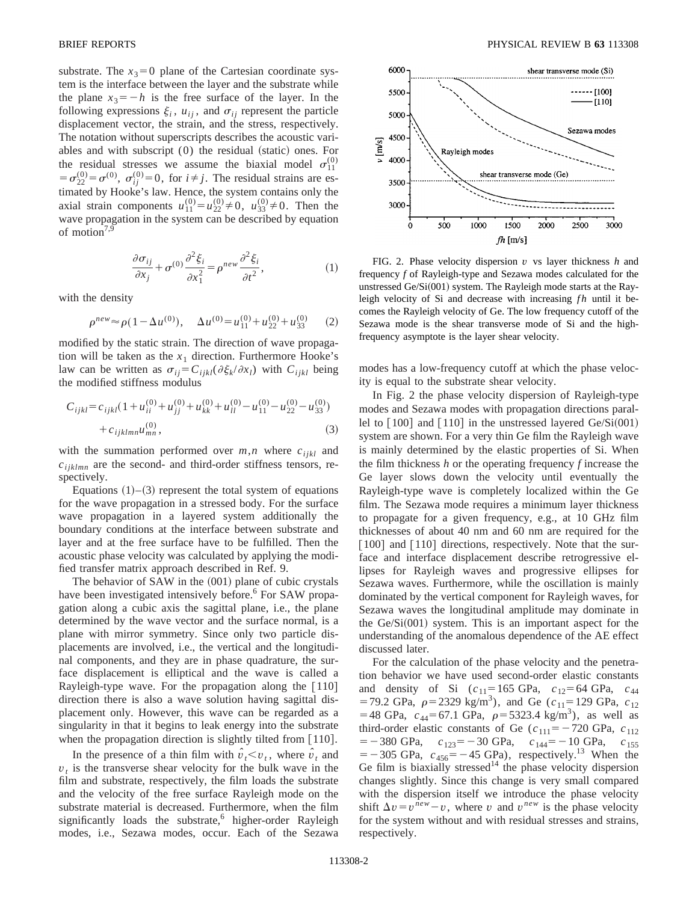substrate. The  $x_3=0$  plane of the Cartesian coordinate system is the interface between the layer and the substrate while the plane  $x_3 = -h$  is the free surface of the layer. In the following expressions  $\xi_i$ ,  $u_{ij}$ , and  $\sigma_{ij}$  represent the particle displacement vector, the strain, and the stress, respectively. The notation without superscripts describes the acoustic variables and with subscript  $(0)$  the residual (static) ones. For the residual stresses we assume the biaxial model  $\sigma_{11}^{(0)}$  $= \sigma_{22}^{(0)} = \sigma^{(0)}$ ,  $\sigma_{ij}^{(0)} = 0$ , for  $i \neq j$ . The residual strains are estimated by Hooke's law. Hence, the system contains only the axial strain components  $u_{11}^{(0)} = u_{22}^{(0)} \neq 0$ ,  $u_{33}^{(0)} \neq 0$ . Then the wave propagation in the system can be described by equation of motion<sup>7,9</sup>

$$
\frac{\partial \sigma_{ij}}{\partial x_j} + \sigma^{(0)} \frac{\partial^2 \xi_i}{\partial x_1^2} = \rho^{new} \frac{\partial^2 \xi_i}{\partial t^2},\tag{1}
$$

with the density

$$
\rho^{new} \approx \rho (1 - \Delta u^{(0)}), \quad \Delta u^{(0)} = u_{11}^{(0)} + u_{22}^{(0)} + u_{33}^{(0)} \tag{2}
$$

modified by the static strain. The direction of wave propagation will be taken as the  $x_1$  direction. Furthermore Hooke's law can be written as  $\sigma_{ij} = C_{ijkl} (\partial \xi_k / \partial x_l)$  with  $C_{ijkl}$  being the modified stiffness modulus

$$
C_{ijkl} = c_{ijkl} \left( 1 + u_{ii}^{(0)} + u_{jj}^{(0)} + u_{kk}^{(0)} + u_{ll}^{(0)} - u_{11}^{(0)} - u_{22}^{(0)} - u_{33}^{(0)} \right) + c_{ijklmn} u_{mn}^{(0)},
$$
\n(3)

with the summation performed over  $m, n$  where  $c_{ijkl}$  and  $c_{ijklmn}$  are the second- and third-order stiffness tensors, respectively.

Equations  $(1)$ – $(3)$  represent the total system of equations for the wave propagation in a stressed body. For the surface wave propagation in a layered system additionally the boundary conditions at the interface between substrate and layer and at the free surface have to be fulfilled. Then the acoustic phase velocity was calculated by applying the modified transfer matrix approach described in Ref. 9.

The behavior of SAW in the  $(001)$  plane of cubic crystals have been investigated intensively before.<sup>6</sup> For SAW propagation along a cubic axis the sagittal plane, i.e., the plane determined by the wave vector and the surface normal, is a plane with mirror symmetry. Since only two particle displacements are involved, i.e., the vertical and the longitudinal components, and they are in phase quadrature, the surface displacement is elliptical and the wave is called a Rayleigh-type wave. For the propagation along the  $[110]$ direction there is also a wave solution having sagittal displacement only. However, this wave can be regarded as a singularity in that it begins to leak energy into the substrate when the propagation direction is slightly tilted from  $[110]$ .

In the presence of a thin film with  $\hat{v}_t \le v_t$ , where  $\hat{v}_t$  and  $v_t$  is the transverse shear velocity for the bulk wave in the film and substrate, respectively, the film loads the substrate and the velocity of the free surface Rayleigh mode on the substrate material is decreased. Furthermore, when the film significantly loads the substrate,<sup>6</sup> higher-order Rayleigh modes, i.e., Sezawa modes, occur. Each of the Sezawa



FIG. 2. Phase velocity dispersion *v* vs layer thickness *h* and frequency *f* of Rayleigh-type and Sezawa modes calculated for the unstressed Ge/Si $(001)$  system. The Rayleigh mode starts at the Rayleigh velocity of Si and decrease with increasing *fh* until it becomes the Rayleigh velocity of Ge. The low frequency cutoff of the Sezawa mode is the shear transverse mode of Si and the highfrequency asymptote is the layer shear velocity.

modes has a low-frequency cutoff at which the phase velocity is equal to the substrate shear velocity.

In Fig. 2 the phase velocity dispersion of Rayleigh-type modes and Sezawa modes with propagation directions parallel to  $\lceil 100 \rceil$  and  $\lceil 110 \rceil$  in the unstressed layered Ge/Si $(001)$ system are shown. For a very thin Ge film the Rayleigh wave is mainly determined by the elastic properties of Si. When the film thickness *h* or the operating frequency *f* increase the Ge layer slows down the velocity until eventually the Rayleigh-type wave is completely localized within the Ge film. The Sezawa mode requires a minimum layer thickness to propagate for a given frequency, e.g., at 10 GHz film thicknesses of about 40 nm and 60 nm are required for the  $\lceil 100 \rceil$  and  $\lceil 110 \rceil$  directions, respectively. Note that the surface and interface displacement describe retrogressive ellipses for Rayleigh waves and progressive ellipses for Sezawa waves. Furthermore, while the oscillation is mainly dominated by the vertical component for Rayleigh waves, for Sezawa waves the longitudinal amplitude may dominate in the  $Ge/Si(001)$  system. This is an important aspect for the understanding of the anomalous dependence of the AE effect discussed later.

For the calculation of the phase velocity and the penetration behavior we have used second-order elastic constants and density of Si  $(c_{11}=165 \text{ GPa}, c_{12}=64 \text{ GPa}, c_{44}$  $=$  79.2 GPa,  $\rho$ = 2329 kg/m<sup>3</sup>), and Ge ( $c_{11}$ = 129 GPa,  $c_{12}$ )  $=$  48 GPa,  $c_{44}$ = 67.1 GPa,  $\rho$ = 5323.4 kg/m<sup>3</sup>), as well as third-order elastic constants of Ge  $(c_{111} = -720 \text{ GPa}, c_{112})$  $=$  -380 GPa,  $c_{123}$ = -30 GPa,  $c_{144}$ = -10 GPa,  $c_{155}$  $=$  -305 GPa,  $c_{456}$ = -45 GPa), respectively.<sup>13</sup> When the Ge film is biaxially stressed<sup>14</sup> the phase velocity dispersion changes slightly. Since this change is very small compared with the dispersion itself we introduce the phase velocity shift  $\Delta v = v^{\bar{new}} - v$ , where *v* and  $v^{new}$  is the phase velocity for the system without and with residual stresses and strains, respectively.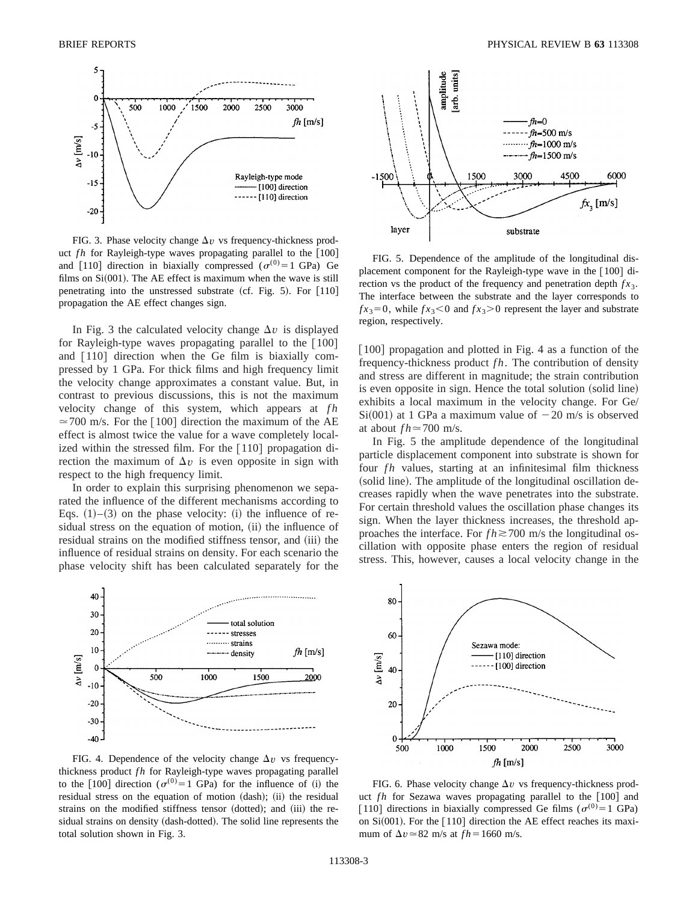

FIG. 3. Phase velocity change  $\Delta v$  vs frequency-thickness product  $fh$  for Rayleigh-type waves propagating parallel to the  $[100]$ and [110] direction in biaxially compressed ( $\sigma^{(0)}=1$  GPa) Ge films on  $Si(001)$ . The AE effect is maximum when the wave is still penetrating into the unstressed substrate (cf. Fig. 5). For  $[110]$ propagation the AE effect changes sign.

In Fig. 3 the calculated velocity change  $\Delta v$  is displayed for Rayleigh-type waves propagating parallel to the  $\lceil 100 \rceil$ and  $\lceil 110 \rceil$  direction when the Ge film is biaxially compressed by 1 GPa. For thick films and high frequency limit the velocity change approximates a constant value. But, in contrast to previous discussions, this is not the maximum velocity change of this system, which appears at *fh*  $\approx$  700 m/s. For the [100] direction the maximum of the AE effect is almost twice the value for a wave completely localized within the stressed film. For the  $\lceil 110 \rceil$  propagation direction the maximum of  $\Delta v$  is even opposite in sign with respect to the high frequency limit.

In order to explain this surprising phenomenon we separated the influence of the different mechanisms according to Eqs.  $(1)$ – $(3)$  on the phase velocity:  $(i)$  the influence of residual stress on the equation of motion, (ii) the influence of residual strains on the modified stiffness tensor, and (iii) the influence of residual strains on density. For each scenario the phase velocity shift has been calculated separately for the



FIG. 4. Dependence of the velocity change  $\Delta v$  vs frequencythickness product *fh* for Rayleigh-type waves propagating parallel to the [100] direction ( $\sigma^{(0)}=1$  GPa) for the influence of (i) the residual stress on the equation of motion (dash); (ii) the residual strains on the modified stiffness tensor (dotted); and (iii) the residual strains on density (dash-dotted). The solid line represents the total solution shown in Fig. 3.



FIG. 5. Dependence of the amplitude of the longitudinal displacement component for the Rayleigh-type wave in the  $[100]$  direction vs the product of the frequency and penetration depth  $fx_3$ . The interface between the substrate and the layer corresponds to  $f_{x3} = 0$ , while  $f_{x3} < 0$  and  $f_{x3} > 0$  represent the layer and substrate region, respectively.

 $[100]$  propagation and plotted in Fig. 4 as a function of the frequency-thickness product *f h*. The contribution of density and stress are different in magnitude; the strain contribution is even opposite in sign. Hence the total solution (solid line) exhibits a local maximum in the velocity change. For Ge/  $Si(001)$  at 1 GPa a maximum value of  $-20$  m/s is observed at about  $fh \approx 700$  m/s.

In Fig. 5 the amplitude dependence of the longitudinal particle displacement component into substrate is shown for four *fh* values, starting at an infinitesimal film thickness (solid line). The amplitude of the longitudinal oscillation decreases rapidly when the wave penetrates into the substrate. For certain threshold values the oscillation phase changes its sign. When the layer thickness increases, the threshold approaches the interface. For  $fh \ge 700$  m/s the longitudinal oscillation with opposite phase enters the region of residual stress. This, however, causes a local velocity change in the



FIG. 6. Phase velocity change  $\Delta v$  vs frequency-thickness product *fh* for Sezawa waves propagating parallel to the [100] and [110] directions in biaxially compressed Ge films ( $\sigma^{(0)}=1$  GPa) on  $Si(001)$ . For the  $[110]$  direction the AE effect reaches its maximum of  $\Delta v \approx 82$  m/s at  $fh = 1660$  m/s.